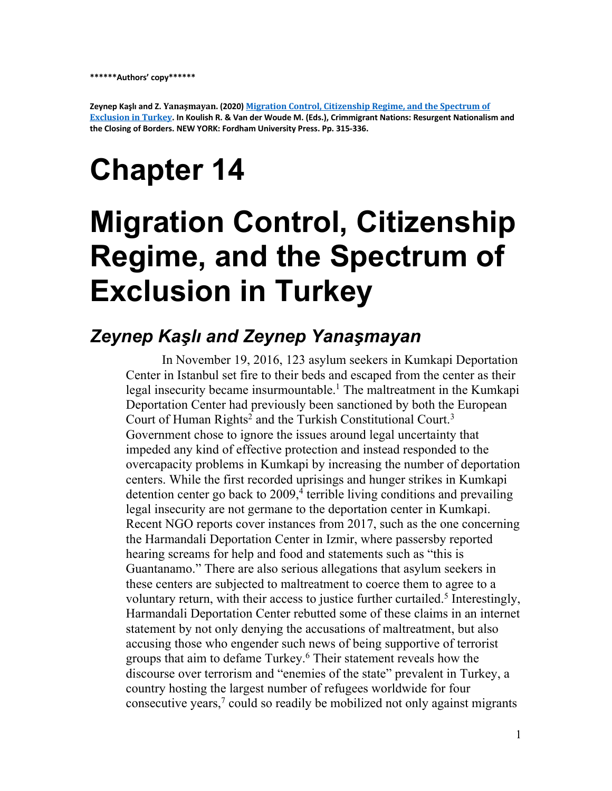**Zeynep Kaşlı and Z. Yanaşmayan. (2020) Migration Control, Citizenship Regime, and the Spectrum of** Exclusion in Turkey. In Koulish R. & Van der Woude M. (Eds.), Crimmigrant Nations: Resurgent Nationalism and **the Closing of Borders. NEW YORK: Fordham University Press. Pp. 315-336.**

# **Chapter 14**

# **Migration Control, Citizenship Regime, and the Spectrum of Exclusion in Turkey**

#### *Zeynep Kaşlı and Zeynep Yanaşmayan*

In November 19, 2016, 123 asylum seekers in Kumkapi Deportation Center in Istanbul set fire to their beds and escaped from the center as their legal insecurity became insurmountable.<sup>1</sup> The maltreatment in the Kumkapi Deportation Center had previously been sanctioned by both the European Court of Human Rights<sup>2</sup> and the Turkish Constitutional Court.<sup>3</sup> Government chose to ignore the issues around legal uncertainty that impeded any kind of effective protection and instead responded to the overcapacity problems in Kumkapi by increasing the number of deportation centers. While the first recorded uprisings and hunger strikes in Kumkapi detention center go back to  $2009<sup>4</sup>$  terrible living conditions and prevailing legal insecurity are not germane to the deportation center in Kumkapi. Recent NGO reports cover instances from 2017, such as the one concerning the Harmandali Deportation Center in Izmir, where passersby reported hearing screams for help and food and statements such as "this is Guantanamo." There are also serious allegations that asylum seekers in these centers are subjected to maltreatment to coerce them to agree to a voluntary return, with their access to justice further curtailed.<sup>5</sup> Interestingly, Harmandali Deportation Center rebutted some of these claims in an internet statement by not only denying the accusations of maltreatment, but also accusing those who engender such news of being supportive of terrorist groups that aim to defame Turkey.<sup>6</sup> Their statement reveals how the discourse over terrorism and "enemies of the state" prevalent in Turkey, a country hosting the largest number of refugees worldwide for four consecutive years, <sup>7</sup> could so readily be mobilized not only against migrants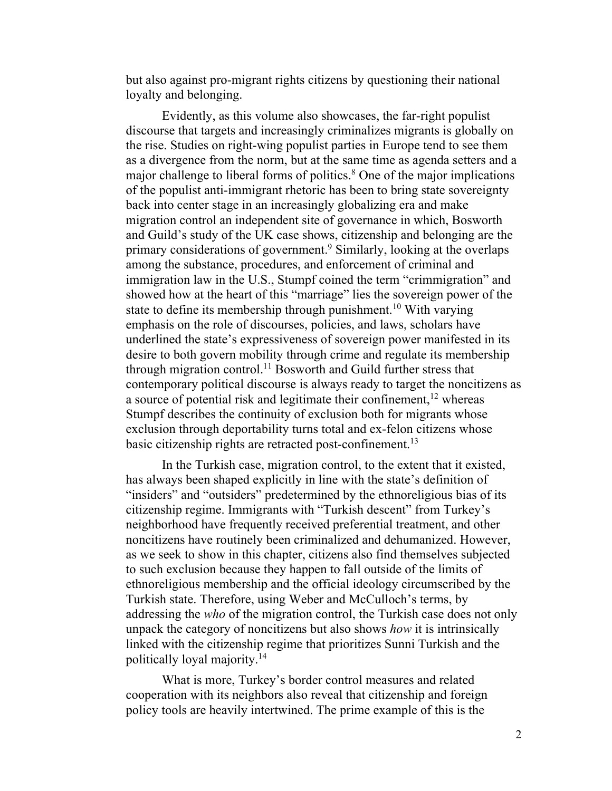but also against pro-migrant rights citizens by questioning their national loyalty and belonging.

Evidently, as this volume also showcases, the far-right populist discourse that targets and increasingly criminalizes migrants is globally on the rise. Studies on right-wing populist parties in Europe tend to see them as a divergence from the norm, but at the same time as agenda setters and a major challenge to liberal forms of politics.<sup>8</sup> One of the major implications of the populist anti-immigrant rhetoric has been to bring state sovereignty back into center stage in an increasingly globalizing era and make migration control an independent site of governance in which, Bosworth and Guild's study of the UK case shows, citizenship and belonging are the primary considerations of government.9 Similarly, looking at the overlaps among the substance, procedures, and enforcement of criminal and immigration law in the U.S., Stumpf coined the term "crimmigration" and showed how at the heart of this "marriage" lies the sovereign power of the state to define its membership through punishment.<sup>10</sup> With varying emphasis on the role of discourses, policies, and laws, scholars have underlined the state's expressiveness of sovereign power manifested in its desire to both govern mobility through crime and regulate its membership through migration control.<sup>11</sup> Bosworth and Guild further stress that contemporary political discourse is always ready to target the noncitizens as a source of potential risk and legitimate their confinement,<sup>12</sup> whereas Stumpf describes the continuity of exclusion both for migrants whose exclusion through deportability turns total and ex-felon citizens whose basic citizenship rights are retracted post-confinement.<sup>13</sup>

In the Turkish case, migration control, to the extent that it existed, has always been shaped explicitly in line with the state's definition of "insiders" and "outsiders" predetermined by the ethnoreligious bias of its citizenship regime. Immigrants with "Turkish descent" from Turkey's neighborhood have frequently received preferential treatment, and other noncitizens have routinely been criminalized and dehumanized. However, as we seek to show in this chapter, citizens also find themselves subjected to such exclusion because they happen to fall outside of the limits of ethnoreligious membership and the official ideology circumscribed by the Turkish state. Therefore, using Weber and McCulloch's terms, by addressing the *who* of the migration control, the Turkish case does not only unpack the category of noncitizens but also shows *how* it is intrinsically linked with the citizenship regime that prioritizes Sunni Turkish and the politically loyal majority.14

What is more, Turkey's border control measures and related cooperation with its neighbors also reveal that citizenship and foreign policy tools are heavily intertwined. The prime example of this is the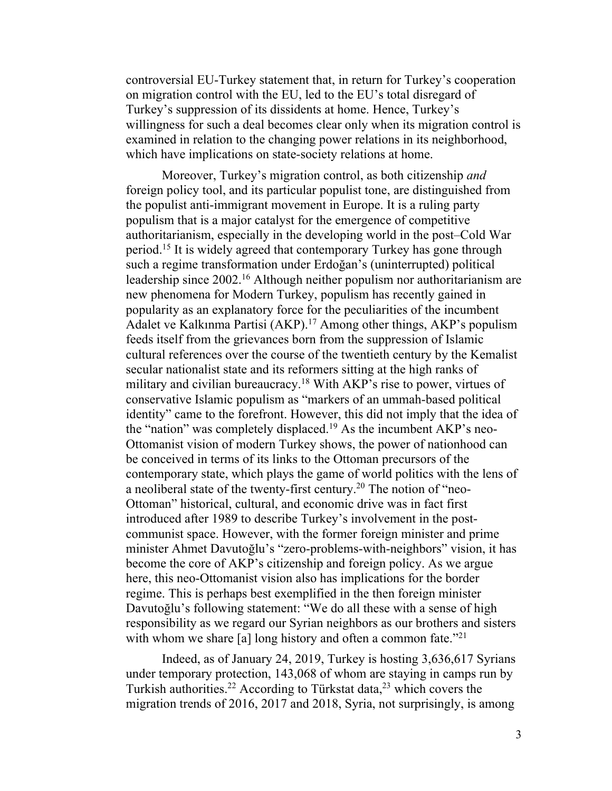controversial EU-Turkey statement that, in return for Turkey's cooperation on migration control with the EU, led to the EU's total disregard of Turkey's suppression of its dissidents at home. Hence, Turkey's willingness for such a deal becomes clear only when its migration control is examined in relation to the changing power relations in its neighborhood, which have implications on state-society relations at home.

Moreover, Turkey's migration control, as both citizenship *and* foreign policy tool, and its particular populist tone, are distinguished from the populist anti-immigrant movement in Europe. It is a ruling party populism that is a major catalyst for the emergence of competitive authoritarianism, especially in the developing world in the post–Cold War period.15 It is widely agreed that contemporary Turkey has gone through such a regime transformation under Erdoğan's (uninterrupted) political leadership since 2002.<sup>16</sup> Although neither populism nor authoritarianism are new phenomena for Modern Turkey, populism has recently gained in popularity as an explanatory force for the peculiarities of the incumbent Adalet ve Kalkınma Partisi (AKP). <sup>17</sup> Among other things, AKP's populism feeds itself from the grievances born from the suppression of Islamic cultural references over the course of the twentieth century by the Kemalist secular nationalist state and its reformers sitting at the high ranks of military and civilian bureaucracy.<sup>18</sup> With AKP's rise to power, virtues of conservative Islamic populism as "markers of an ummah-based political identity" came to the forefront. However, this did not imply that the idea of the "nation" was completely displaced.19 As the incumbent AKP's neo-Ottomanist vision of modern Turkey shows, the power of nationhood can be conceived in terms of its links to the Ottoman precursors of the contemporary state, which plays the game of world politics with the lens of a neoliberal state of the twenty-first century.<sup>20</sup> The notion of "neo-Ottoman" historical, cultural, and economic drive was in fact first introduced after 1989 to describe Turkey's involvement in the postcommunist space. However, with the former foreign minister and prime minister Ahmet Davutoğlu's "zero-problems-with-neighbors" vision, it has become the core of AKP's citizenship and foreign policy. As we argue here, this neo-Ottomanist vision also has implications for the border regime. This is perhaps best exemplified in the then foreign minister Davutoğlu's following statement: "We do all these with a sense of high responsibility as we regard our Syrian neighbors as our brothers and sisters with whom we share [a] long history and often a common fate.<sup>"21</sup>

Indeed, as of January 24, 2019, Turkey is hosting 3,636,617 Syrians under temporary protection, 143,068 of whom are staying in camps run by Turkish authorities.<sup>22</sup> According to Türkstat data,<sup>23</sup> which covers the migration trends of 2016, 2017 and 2018, Syria, not surprisingly, is among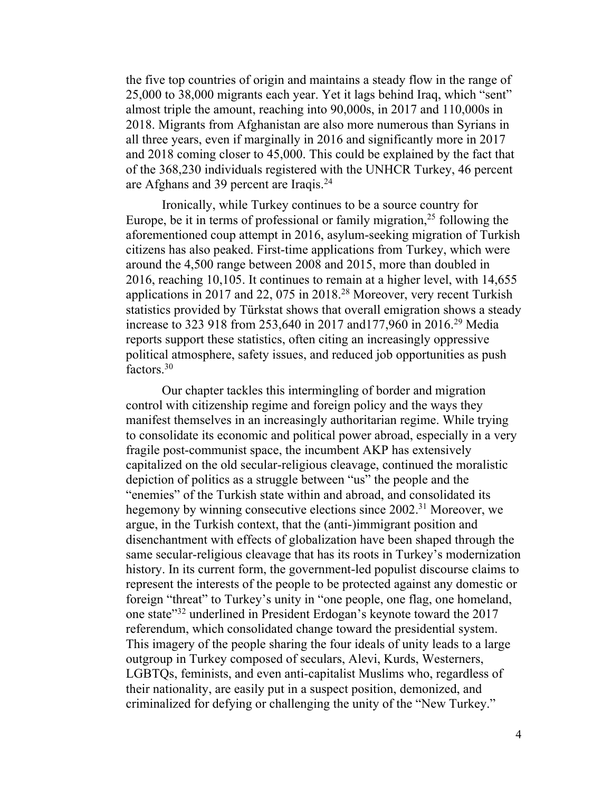the five top countries of origin and maintains a steady flow in the range of 25,000 to 38,000 migrants each year. Yet it lags behind Iraq, which "sent" almost triple the amount, reaching into 90,000s, in 2017 and 110,000s in 2018. Migrants from Afghanistan are also more numerous than Syrians in all three years, even if marginally in 2016 and significantly more in 2017 and 2018 coming closer to 45,000. This could be explained by the fact that of the 368,230 individuals registered with the UNHCR Turkey, 46 percent are Afghans and 39 percent are Iraqis.<sup>24</sup>

Ironically, while Turkey continues to be a source country for Europe, be it in terms of professional or family migration,  $2<sup>5</sup>$  following the aforementioned coup attempt in 2016, asylum-seeking migration of Turkish citizens has also peaked. First-time applications from Turkey, which were around the 4,500 range between 2008 and 2015, more than doubled in 2016, reaching 10,105. It continues to remain at a higher level, with 14,655 applications in 2017 and 22, 075 in 2018.<sup>28</sup> Moreover, very recent Turkish statistics provided by Türkstat shows that overall emigration shows a steady increase to 323 918 from 253,640 in 2017 and177,960 in 2016.29 Media reports support these statistics, often citing an increasingly oppressive political atmosphere, safety issues, and reduced job opportunities as push factors.30

Our chapter tackles this intermingling of border and migration control with citizenship regime and foreign policy and the ways they manifest themselves in an increasingly authoritarian regime. While trying to consolidate its economic and political power abroad, especially in a very fragile post-communist space, the incumbent AKP has extensively capitalized on the old secular-religious cleavage, continued the moralistic depiction of politics as a struggle between "us" the people and the "enemies" of the Turkish state within and abroad, and consolidated its hegemony by winning consecutive elections since 2002.<sup>31</sup> Moreover, we argue, in the Turkish context, that the (anti-)immigrant position and disenchantment with effects of globalization have been shaped through the same secular-religious cleavage that has its roots in Turkey's modernization history. In its current form, the government-led populist discourse claims to represent the interests of the people to be protected against any domestic or foreign "threat" to Turkey's unity in "one people, one flag, one homeland, one state"32 underlined in President Erdogan's keynote toward the 2017 referendum, which consolidated change toward the presidential system. This imagery of the people sharing the four ideals of unity leads to a large outgroup in Turkey composed of seculars, Alevi, Kurds, Westerners, LGBTQs, feminists, and even anti-capitalist Muslims who, regardless of their nationality, are easily put in a suspect position, demonized, and criminalized for defying or challenging the unity of the "New Turkey."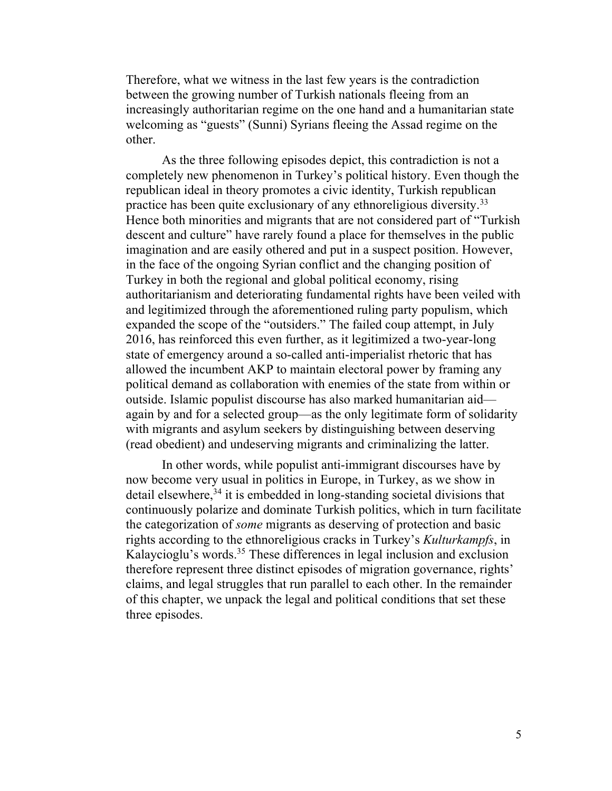Therefore, what we witness in the last few years is the contradiction between the growing number of Turkish nationals fleeing from an increasingly authoritarian regime on the one hand and a humanitarian state welcoming as "guests" (Sunni) Syrians fleeing the Assad regime on the other.

As the three following episodes depict, this contradiction is not a completely new phenomenon in Turkey's political history. Even though the republican ideal in theory promotes a civic identity, Turkish republican practice has been quite exclusionary of any ethnoreligious diversity.33 Hence both minorities and migrants that are not considered part of "Turkish descent and culture" have rarely found a place for themselves in the public imagination and are easily othered and put in a suspect position. However, in the face of the ongoing Syrian conflict and the changing position of Turkey in both the regional and global political economy, rising authoritarianism and deteriorating fundamental rights have been veiled with and legitimized through the aforementioned ruling party populism, which expanded the scope of the "outsiders." The failed coup attempt, in July 2016, has reinforced this even further, as it legitimized a two-year-long state of emergency around a so-called anti-imperialist rhetoric that has allowed the incumbent AKP to maintain electoral power by framing any political demand as collaboration with enemies of the state from within or outside. Islamic populist discourse has also marked humanitarian aid again by and for a selected group—as the only legitimate form of solidarity with migrants and asylum seekers by distinguishing between deserving (read obedient) and undeserving migrants and criminalizing the latter.

In other words, while populist anti-immigrant discourses have by now become very usual in politics in Europe, in Turkey, as we show in detail elsewhere,<sup>34</sup> it is embedded in long-standing societal divisions that continuously polarize and dominate Turkish politics, which in turn facilitate the categorization of *some* migrants as deserving of protection and basic rights according to the ethnoreligious cracks in Turkey's *Kulturkampfs*, in Kalaycioglu's words.35 These differences in legal inclusion and exclusion therefore represent three distinct episodes of migration governance, rights' claims, and legal struggles that run parallel to each other. In the remainder of this chapter, we unpack the legal and political conditions that set these three episodes.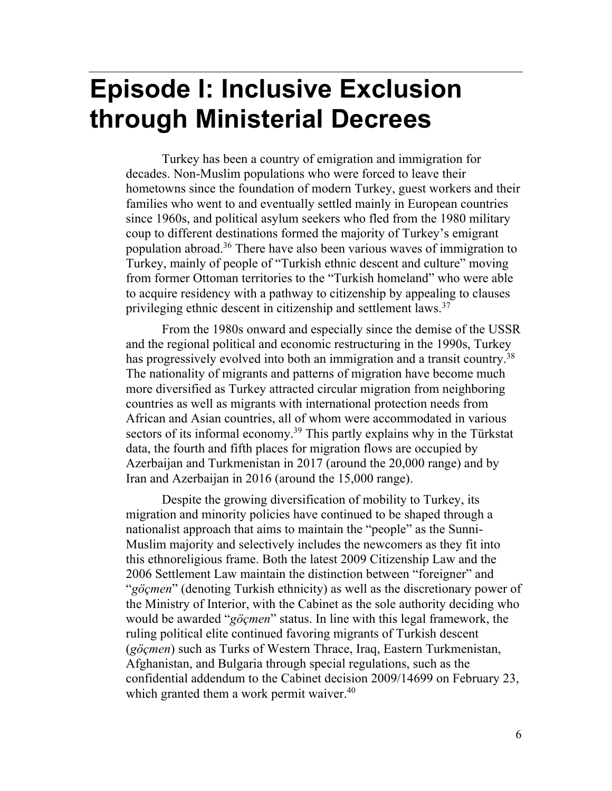## **Episode I: Inclusive Exclusion through Ministerial Decrees**

Turkey has been a country of emigration and immigration for decades. Non-Muslim populations who were forced to leave their hometowns since the foundation of modern Turkey, guest workers and their families who went to and eventually settled mainly in European countries since 1960s, and political asylum seekers who fled from the 1980 military coup to different destinations formed the majority of Turkey's emigrant population abroad.36 There have also been various waves of immigration to Turkey, mainly of people of "Turkish ethnic descent and culture" moving from former Ottoman territories to the "Turkish homeland" who were able to acquire residency with a pathway to citizenship by appealing to clauses privileging ethnic descent in citizenship and settlement laws.<sup>37</sup>

From the 1980s onward and especially since the demise of the USSR and the regional political and economic restructuring in the 1990s, Turkey has progressively evolved into both an immigration and a transit country.<sup>38</sup> The nationality of migrants and patterns of migration have become much more diversified as Turkey attracted circular migration from neighboring countries as well as migrants with international protection needs from African and Asian countries, all of whom were accommodated in various sectors of its informal economy.<sup>39</sup> This partly explains why in the Türkstat data, the fourth and fifth places for migration flows are occupied by Azerbaijan and Turkmenistan in 2017 (around the 20,000 range) and by Iran and Azerbaijan in 2016 (around the 15,000 range).

Despite the growing diversification of mobility to Turkey, its migration and minority policies have continued to be shaped through a nationalist approach that aims to maintain the "people" as the Sunni-Muslim majority and selectively includes the newcomers as they fit into this ethnoreligious frame. Both the latest 2009 Citizenship Law and the 2006 Settlement Law maintain the distinction between "foreigner" and "*göçmen*" (denoting Turkish ethnicity) as well as the discretionary power of the Ministry of Interior, with the Cabinet as the sole authority deciding who would be awarded "*göçmen*" status. In line with this legal framework, the ruling political elite continued favoring migrants of Turkish descent (*göçmen*) such as Turks of Western Thrace, Iraq, Eastern Turkmenistan, Afghanistan, and Bulgaria through special regulations, such as the confidential addendum to the Cabinet decision 2009/14699 on February 23, which granted them a work permit waiver.<sup>40</sup>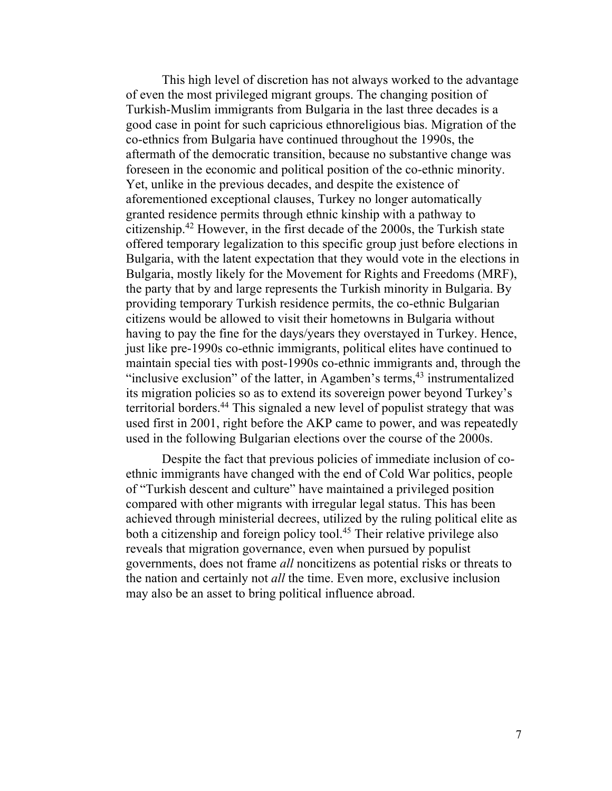This high level of discretion has not always worked to the advantage of even the most privileged migrant groups. The changing position of Turkish-Muslim immigrants from Bulgaria in the last three decades is a good case in point for such capricious ethnoreligious bias. Migration of the co-ethnics from Bulgaria have continued throughout the 1990s, the aftermath of the democratic transition, because no substantive change was foreseen in the economic and political position of the co-ethnic minority. Yet, unlike in the previous decades, and despite the existence of aforementioned exceptional clauses, Turkey no longer automatically granted residence permits through ethnic kinship with a pathway to citizenship.42 However, in the first decade of the 2000s, the Turkish state offered temporary legalization to this specific group just before elections in Bulgaria, with the latent expectation that they would vote in the elections in Bulgaria, mostly likely for the Movement for Rights and Freedoms (MRF), the party that by and large represents the Turkish minority in Bulgaria. By providing temporary Turkish residence permits, the co-ethnic Bulgarian citizens would be allowed to visit their hometowns in Bulgaria without having to pay the fine for the days/years they overstayed in Turkey. Hence, just like pre-1990s co-ethnic immigrants, political elites have continued to maintain special ties with post-1990s co-ethnic immigrants and, through the "inclusive exclusion" of the latter, in Agamben's terms,  $43$  instrumentalized its migration policies so as to extend its sovereign power beyond Turkey's territorial borders.44 This signaled a new level of populist strategy that was used first in 2001, right before the AKP came to power, and was repeatedly used in the following Bulgarian elections over the course of the 2000s.

Despite the fact that previous policies of immediate inclusion of coethnic immigrants have changed with the end of Cold War politics, people of "Turkish descent and culture" have maintained a privileged position compared with other migrants with irregular legal status. This has been achieved through ministerial decrees, utilized by the ruling political elite as both a citizenship and foreign policy tool.<sup>45</sup> Their relative privilege also reveals that migration governance, even when pursued by populist governments, does not frame *all* noncitizens as potential risks or threats to the nation and certainly not *all* the time. Even more, exclusive inclusion may also be an asset to bring political influence abroad.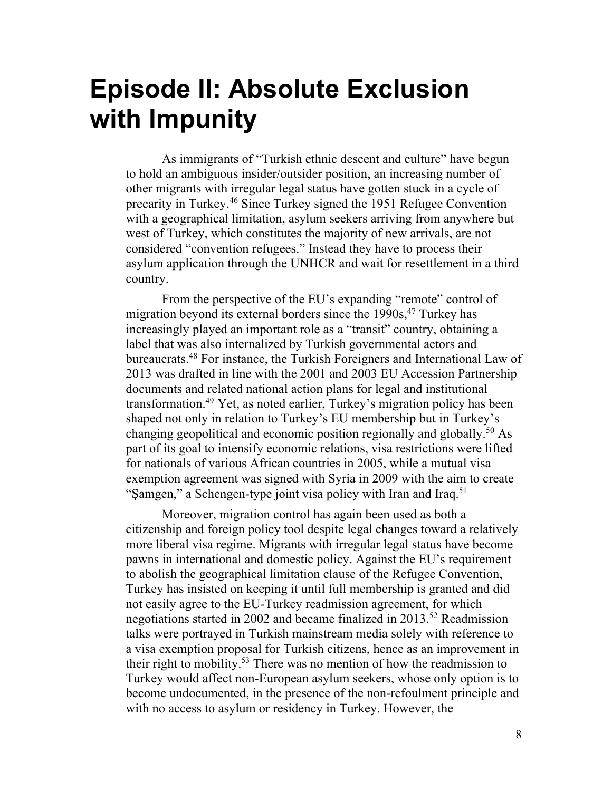## **Episode II: Absolute Exclusion with Impunity**

As immigrants of "Turkish ethnic descent and culture" have begun to hold an ambiguous insider/outsider position, an increasing number of other migrants with irregular legal status have gotten stuck in a cycle of precarity in Turkey.46 Since Turkey signed the 1951 Refugee Convention with a geographical limitation, asylum seekers arriving from anywhere but west of Turkey, which constitutes the majority of new arrivals, are not considered "convention refugees." Instead they have to process their asylum application through the UNHCR and wait for resettlement in a third country.

From the perspective of the EU's expanding "remote" control of migration beyond its external borders since the  $1990s$ ,<sup>47</sup> Turkey has increasingly played an important role as a "transit" country, obtaining a label that was also internalized by Turkish governmental actors and bureaucrats.<sup>48</sup> For instance, the Turkish Foreigners and International Law of 2013 was drafted in line with the 2001 and 2003 EU Accession Partnership documents and related national action plans for legal and institutional transformation.49 Yet, as noted earlier, Turkey's migration policy has been shaped not only in relation to Turkey's EU membership but in Turkey's changing geopolitical and economic position regionally and globally.<sup>50</sup> As part of its goal to intensify economic relations, visa restrictions were lifted for nationals of various African countries in 2005, while a mutual visa exemption agreement was signed with Syria in 2009 with the aim to create "Şamgen," a Schengen-type joint visa policy with Iran and Iraq.<sup>51</sup>

Moreover, migration control has again been used as both a citizenship and foreign policy tool despite legal changes toward a relatively more liberal visa regime. Migrants with irregular legal status have become pawns in international and domestic policy. Against the EU's requirement to abolish the geographical limitation clause of the Refugee Convention, Turkey has insisted on keeping it until full membership is granted and did not easily agree to the EU-Turkey readmission agreement, for which negotiations started in 2002 and became finalized in 2013.<sup>52</sup> Readmission talks were portrayed in Turkish mainstream media solely with reference to a visa exemption proposal for Turkish citizens, hence as an improvement in their right to mobility.<sup>53</sup> There was no mention of how the readmission to Turkey would affect non-European asylum seekers, whose only option is to become undocumented, in the presence of the non-refoulment principle and with no access to asylum or residency in Turkey. However, the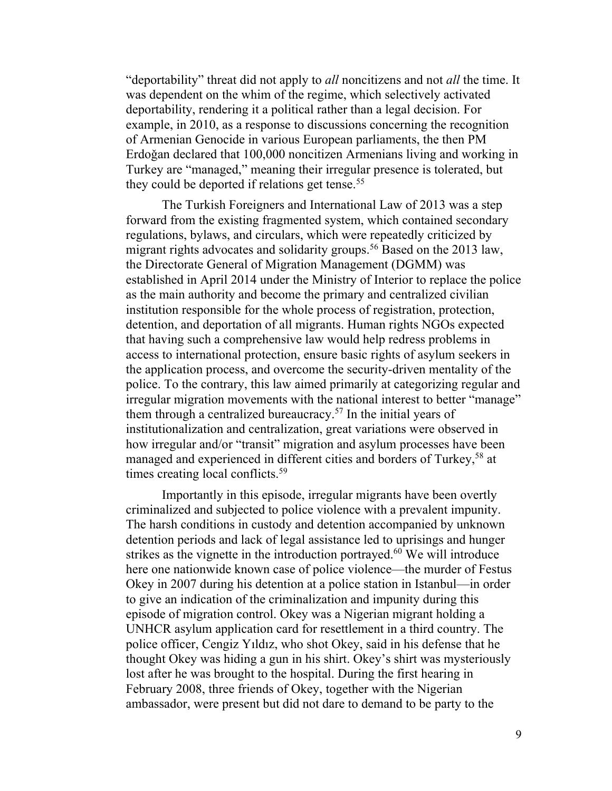"deportability" threat did not apply to *all* noncitizens and not *all* the time. It was dependent on the whim of the regime, which selectively activated deportability, rendering it a political rather than a legal decision. For example, in 2010, as a response to discussions concerning the recognition of Armenian Genocide in various European parliaments, the then PM Erdoǧan declared that 100,000 noncitizen Armenians living and working in Turkey are "managed," meaning their irregular presence is tolerated, but they could be deported if relations get tense.<sup>55</sup>

The Turkish Foreigners and International Law of 2013 was a step forward from the existing fragmented system, which contained secondary regulations, bylaws, and circulars, which were repeatedly criticized by migrant rights advocates and solidarity groups.<sup>56</sup> Based on the 2013 law, the Directorate General of Migration Management (DGMM) was established in April 2014 under the Ministry of Interior to replace the police as the main authority and become the primary and centralized civilian institution responsible for the whole process of registration, protection, detention, and deportation of all migrants. Human rights NGOs expected that having such a comprehensive law would help redress problems in access to international protection, ensure basic rights of asylum seekers in the application process, and overcome the security-driven mentality of the police. To the contrary, this law aimed primarily at categorizing regular and irregular migration movements with the national interest to better "manage" them through a centralized bureaucracy.57 In the initial years of institutionalization and centralization, great variations were observed in how irregular and/or "transit" migration and asylum processes have been managed and experienced in different cities and borders of Turkey,<sup>58</sup> at times creating local conflicts.<sup>59</sup>

Importantly in this episode, irregular migrants have been overtly criminalized and subjected to police violence with a prevalent impunity. The harsh conditions in custody and detention accompanied by unknown detention periods and lack of legal assistance led to uprisings and hunger strikes as the vignette in the introduction portrayed.<sup>60</sup> We will introduce here one nationwide known case of police violence—the murder of Festus Okey in 2007 during his detention at a police station in Istanbul—in order to give an indication of the criminalization and impunity during this episode of migration control. Okey was a Nigerian migrant holding a UNHCR asylum application card for resettlement in a third country. The police officer, Cengiz Yıldız, who shot Okey, said in his defense that he thought Okey was hiding a gun in his shirt. Okey's shirt was mysteriously lost after he was brought to the hospital. During the first hearing in February 2008, three friends of Okey, together with the Nigerian ambassador, were present but did not dare to demand to be party to the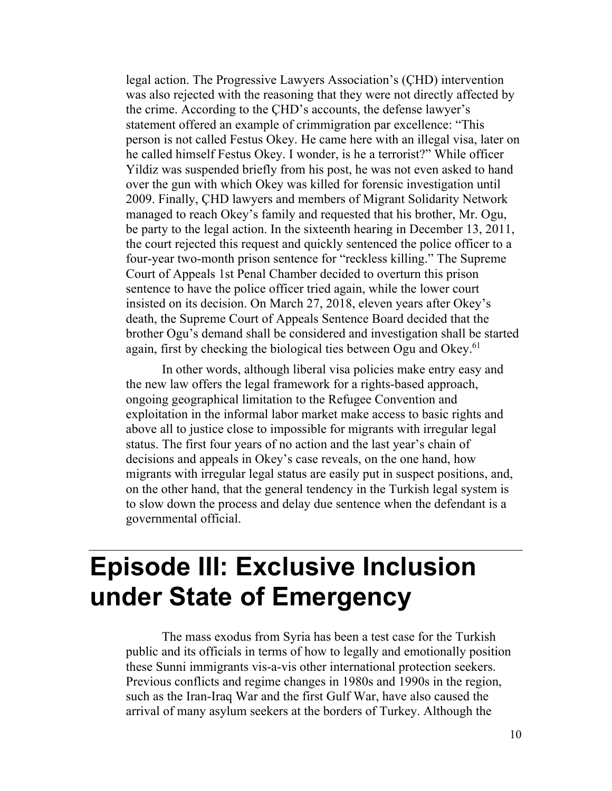legal action. The Progressive Lawyers Association's (ÇHD) intervention was also rejected with the reasoning that they were not directly affected by the crime. According to the ÇHD's accounts, the defense lawyer's statement offered an example of crimmigration par excellence: "This person is not called Festus Okey. He came here with an illegal visa, later on he called himself Festus Okey. I wonder, is he a terrorist?" While officer Yildiz was suspended briefly from his post, he was not even asked to hand over the gun with which Okey was killed for forensic investigation until 2009. Finally, ÇHD lawyers and members of Migrant Solidarity Network managed to reach Okey's family and requested that his brother, Mr. Ogu, be party to the legal action. In the sixteenth hearing in December 13, 2011, the court rejected this request and quickly sentenced the police officer to a four-year two-month prison sentence for "reckless killing." The Supreme Court of Appeals 1st Penal Chamber decided to overturn this prison sentence to have the police officer tried again, while the lower court insisted on its decision. On March 27, 2018, eleven years after Okey's death, the Supreme Court of Appeals Sentence Board decided that the brother Ogu's demand shall be considered and investigation shall be started again, first by checking the biological ties between Ogu and Okey.<sup>61</sup>

In other words, although liberal visa policies make entry easy and the new law offers the legal framework for a rights-based approach, ongoing geographical limitation to the Refugee Convention and exploitation in the informal labor market make access to basic rights and above all to justice close to impossible for migrants with irregular legal status. The first four years of no action and the last year's chain of decisions and appeals in Okey's case reveals, on the one hand, how migrants with irregular legal status are easily put in suspect positions, and, on the other hand, that the general tendency in the Turkish legal system is to slow down the process and delay due sentence when the defendant is a governmental official.

## **Episode III: Exclusive Inclusion under State of Emergency**

The mass exodus from Syria has been a test case for the Turkish public and its officials in terms of how to legally and emotionally position these Sunni immigrants vis-a-vis other international protection seekers. Previous conflicts and regime changes in 1980s and 1990s in the region, such as the Iran-Iraq War and the first Gulf War, have also caused the arrival of many asylum seekers at the borders of Turkey. Although the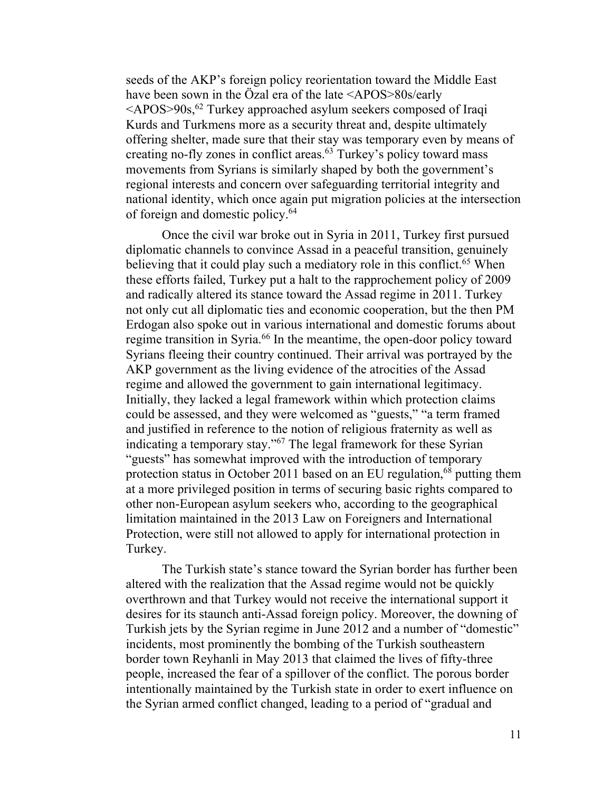seeds of the AKP's foreign policy reorientation toward the Middle East have been sown in the Özal era of the late <APOS>80s/early  $\leq$ APOS $>$ 90s,<sup>62</sup> Turkey approached asylum seekers composed of Iraqi Kurds and Turkmens more as a security threat and, despite ultimately offering shelter, made sure that their stay was temporary even by means of creating no-fly zones in conflict areas. $63$  Turkey's policy toward mass movements from Syrians is similarly shaped by both the government's regional interests and concern over safeguarding territorial integrity and national identity, which once again put migration policies at the intersection of foreign and domestic policy. 64

Once the civil war broke out in Syria in 2011, Turkey first pursued diplomatic channels to convince Assad in a peaceful transition, genuinely believing that it could play such a mediatory role in this conflict.<sup>65</sup> When these efforts failed, Turkey put a halt to the rapprochement policy of 2009 and radically altered its stance toward the Assad regime in 2011. Turkey not only cut all diplomatic ties and economic cooperation, but the then PM Erdogan also spoke out in various international and domestic forums about regime transition in Syria. <sup>66</sup> In the meantime, the open-door policy toward Syrians fleeing their country continued. Their arrival was portrayed by the AKP government as the living evidence of the atrocities of the Assad regime and allowed the government to gain international legitimacy. Initially, they lacked a legal framework within which protection claims could be assessed, and they were welcomed as "guests," "a term framed and justified in reference to the notion of religious fraternity as well as indicating a temporary stay."<sup>67</sup> The legal framework for these Syrian "guests" has somewhat improved with the introduction of temporary protection status in October 2011 based on an EU regulation,<sup>68</sup> putting them at a more privileged position in terms of securing basic rights compared to other non-European asylum seekers who, according to the geographical limitation maintained in the 2013 Law on Foreigners and International Protection, were still not allowed to apply for international protection in Turkey.

The Turkish state's stance toward the Syrian border has further been altered with the realization that the Assad regime would not be quickly overthrown and that Turkey would not receive the international support it desires for its staunch anti-Assad foreign policy. Moreover, the downing of Turkish jets by the Syrian regime in June 2012 and a number of "domestic" incidents, most prominently the bombing of the Turkish southeastern border town Reyhanli in May 2013 that claimed the lives of fifty-three people, increased the fear of a spillover of the conflict. The porous border intentionally maintained by the Turkish state in order to exert influence on the Syrian armed conflict changed, leading to a period of "gradual and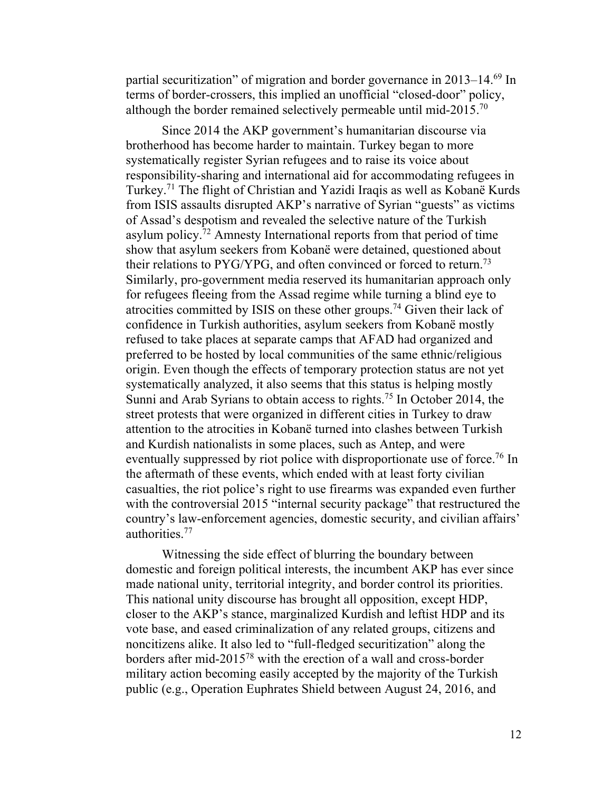partial securitization" of migration and border governance in 2013–14.<sup>69</sup> In terms of border-crossers, this implied an unofficial "closed-door" policy, although the border remained selectively permeable until mid-2015.<sup>70</sup>

Since 2014 the AKP government's humanitarian discourse via brotherhood has become harder to maintain. Turkey began to more systematically register Syrian refugees and to raise its voice about responsibility-sharing and international aid for accommodating refugees in Turkey. <sup>71</sup> The flight of Christian and Yazidi Iraqis as well as Kobanë Kurds from ISIS assaults disrupted AKP's narrative of Syrian "guests" as victims of Assad's despotism and revealed the selective nature of the Turkish asylum policy. <sup>72</sup> Amnesty International reports from that period of time show that asylum seekers from Kobanë were detained, questioned about their relations to PYG/YPG, and often convinced or forced to return.<sup>73</sup> Similarly, pro-government media reserved its humanitarian approach only for refugees fleeing from the Assad regime while turning a blind eye to atrocities committed by ISIS on these other groups.<sup>74</sup> Given their lack of confidence in Turkish authorities, asylum seekers from Kobanë mostly refused to take places at separate camps that AFAD had organized and preferred to be hosted by local communities of the same ethnic/religious origin. Even though the effects of temporary protection status are not yet systematically analyzed, it also seems that this status is helping mostly Sunni and Arab Syrians to obtain access to rights. <sup>75</sup> In October 2014, the street protests that were organized in different cities in Turkey to draw attention to the atrocities in Kobanë turned into clashes between Turkish and Kurdish nationalists in some places, such as Antep, and were eventually suppressed by riot police with disproportionate use of force.<sup>76</sup> In the aftermath of these events, which ended with at least forty civilian casualties, the riot police's right to use firearms was expanded even further with the controversial 2015 "internal security package" that restructured the country's law-enforcement agencies, domestic security, and civilian affairs' authorities.77

Witnessing the side effect of blurring the boundary between domestic and foreign political interests, the incumbent AKP has ever since made national unity, territorial integrity, and border control its priorities. This national unity discourse has brought all opposition, except HDP, closer to the AKP's stance, marginalized Kurdish and leftist HDP and its vote base, and eased criminalization of any related groups, citizens and noncitizens alike. It also led to "full-fledged securitization" along the borders after mid-201578 with the erection of a wall and cross-border military action becoming easily accepted by the majority of the Turkish public (e.g., Operation Euphrates Shield between August 24, 2016, and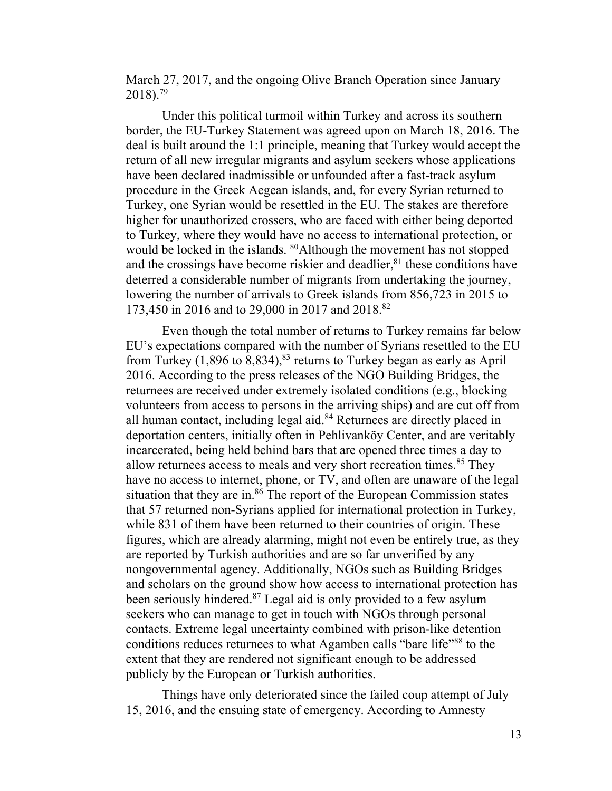March 27, 2017, and the ongoing Olive Branch Operation since January  $2018$ .<sup>79</sup>

Under this political turmoil within Turkey and across its southern border, the EU-Turkey Statement was agreed upon on March 18, 2016. The deal is built around the 1:1 principle, meaning that Turkey would accept the return of all new irregular migrants and asylum seekers whose applications have been declared inadmissible or unfounded after a fast-track asylum procedure in the Greek Aegean islands, and, for every Syrian returned to Turkey, one Syrian would be resettled in the EU. The stakes are therefore higher for unauthorized crossers, who are faced with either being deported to Turkey, where they would have no access to international protection, or would be locked in the islands. <sup>80</sup>Although the movement has not stopped and the crossings have become riskier and deadlier, <sup>81</sup> these conditions have deterred a considerable number of migrants from undertaking the journey, lowering the number of arrivals to Greek islands from 856,723 in 2015 to 173,450 in 2016 and to 29,000 in 2017 and 2018.82

Even though the total number of returns to Turkey remains far below EU's expectations compared with the number of Syrians resettled to the EU from Turkey  $(1,896 \text{ to } 8,834)$ ,<sup>83</sup> returns to Turkey began as early as April 2016. According to the press releases of the NGO Building Bridges, the returnees are received under extremely isolated conditions (e.g., blocking volunteers from access to persons in the arriving ships) and are cut off from all human contact, including legal aid. $84$  Returnees are directly placed in deportation centers, initially often in Pehlivanköy Center, and are veritably incarcerated, being held behind bars that are opened three times a day to allow returnees access to meals and very short recreation times.<sup>85</sup> They have no access to internet, phone, or TV, and often are unaware of the legal situation that they are in. $86$  The report of the European Commission states that 57 returned non-Syrians applied for international protection in Turkey, while 831 of them have been returned to their countries of origin. These figures, which are already alarming, might not even be entirely true, as they are reported by Turkish authorities and are so far unverified by any nongovernmental agency. Additionally, NGOs such as Building Bridges and scholars on the ground show how access to international protection has been seriously hindered. $87$  Legal aid is only provided to a few asylum seekers who can manage to get in touch with NGOs through personal contacts. Extreme legal uncertainty combined with prison-like detention conditions reduces returnees to what Agamben calls "bare life"<sup>88</sup> to the extent that they are rendered not significant enough to be addressed publicly by the European or Turkish authorities.

Things have only deteriorated since the failed coup attempt of July 15, 2016, and the ensuing state of emergency. According to Amnesty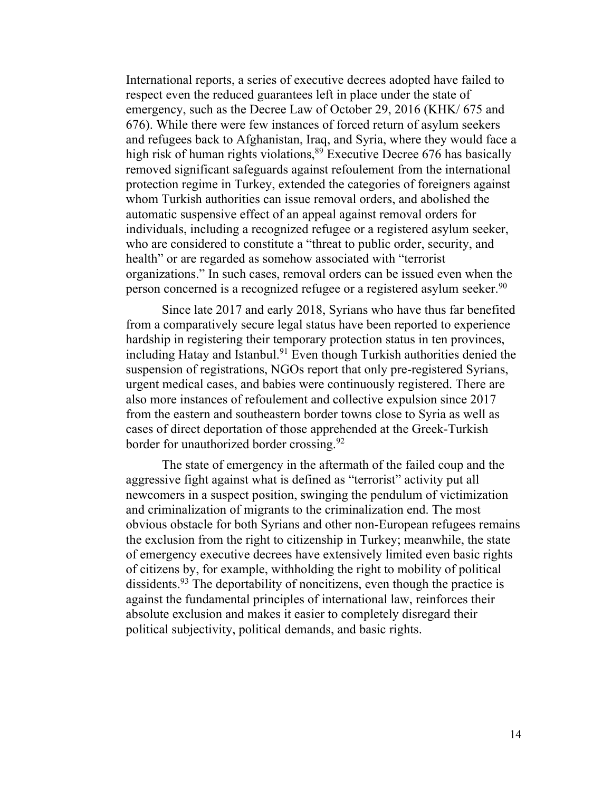International reports, a series of executive decrees adopted have failed to respect even the reduced guarantees left in place under the state of emergency, such as the Decree Law of October 29, 2016 (KHK/ 675 and 676). While there were few instances of forced return of asylum seekers and refugees back to Afghanistan, Iraq, and Syria, where they would face a high risk of human rights violations,  $89$  Executive Decree 676 has basically removed significant safeguards against refoulement from the international protection regime in Turkey, extended the categories of foreigners against whom Turkish authorities can issue removal orders, and abolished the automatic suspensive effect of an appeal against removal orders for individuals, including a recognized refugee or a registered asylum seeker, who are considered to constitute a "threat to public order, security, and health" or are regarded as somehow associated with "terrorist" organizations." In such cases, removal orders can be issued even when the person concerned is a recognized refugee or a registered asylum seeker.<sup>90</sup>

Since late 2017 and early 2018, Syrians who have thus far benefited from a comparatively secure legal status have been reported to experience hardship in registering their temporary protection status in ten provinces, including Hatay and Istanbul.<sup>91</sup> Even though Turkish authorities denied the suspension of registrations, NGOs report that only pre-registered Syrians, urgent medical cases, and babies were continuously registered. There are also more instances of refoulement and collective expulsion since 2017 from the eastern and southeastern border towns close to Syria as well as cases of direct deportation of those apprehended at the Greek-Turkish border for unauthorized border crossing.<sup>92</sup>

The state of emergency in the aftermath of the failed coup and the aggressive fight against what is defined as "terrorist" activity put all newcomers in a suspect position, swinging the pendulum of victimization and criminalization of migrants to the criminalization end. The most obvious obstacle for both Syrians and other non-European refugees remains the exclusion from the right to citizenship in Turkey; meanwhile, the state of emergency executive decrees have extensively limited even basic rights of citizens by, for example, withholding the right to mobility of political dissidents.<sup>93</sup> The deportability of noncitizens, even though the practice is against the fundamental principles of international law, reinforces their absolute exclusion and makes it easier to completely disregard their political subjectivity, political demands, and basic rights.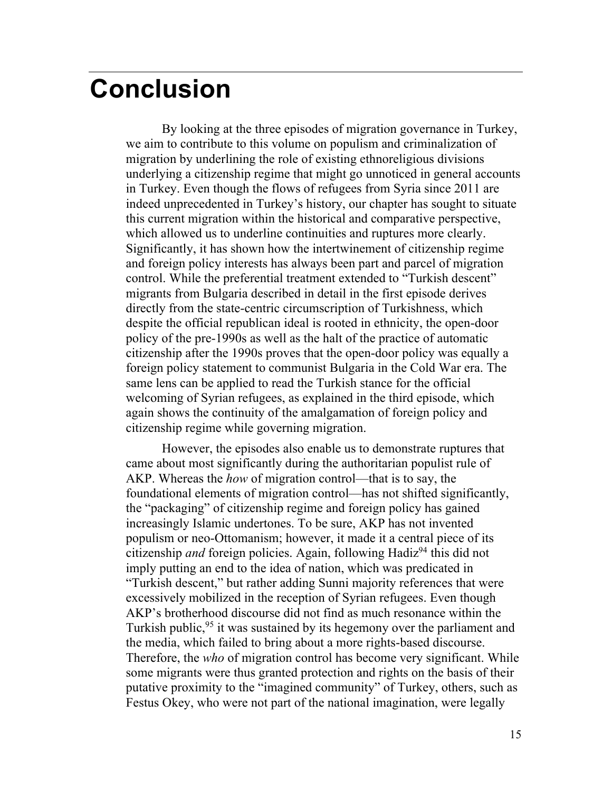#### **Conclusion**

By looking at the three episodes of migration governance in Turkey, we aim to contribute to this volume on populism and criminalization of migration by underlining the role of existing ethnoreligious divisions underlying a citizenship regime that might go unnoticed in general accounts in Turkey. Even though the flows of refugees from Syria since 2011 are indeed unprecedented in Turkey's history, our chapter has sought to situate this current migration within the historical and comparative perspective, which allowed us to underline continuities and ruptures more clearly. Significantly, it has shown how the intertwinement of citizenship regime and foreign policy interests has always been part and parcel of migration control. While the preferential treatment extended to "Turkish descent" migrants from Bulgaria described in detail in the first episode derives directly from the state-centric circumscription of Turkishness, which despite the official republican ideal is rooted in ethnicity, the open-door policy of the pre-1990s as well as the halt of the practice of automatic citizenship after the 1990s proves that the open-door policy was equally a foreign policy statement to communist Bulgaria in the Cold War era. The same lens can be applied to read the Turkish stance for the official welcoming of Syrian refugees, as explained in the third episode, which again shows the continuity of the amalgamation of foreign policy and citizenship regime while governing migration.

However, the episodes also enable us to demonstrate ruptures that came about most significantly during the authoritarian populist rule of AKP. Whereas the *how* of migration control—that is to say, the foundational elements of migration control—has not shifted significantly, the "packaging" of citizenship regime and foreign policy has gained increasingly Islamic undertones. To be sure, AKP has not invented populism or neo-Ottomanism; however, it made it a central piece of its citizenship *and* foreign policies. Again, following Hadiz<sup>94</sup> this did not imply putting an end to the idea of nation, which was predicated in "Turkish descent," but rather adding Sunni majority references that were excessively mobilized in the reception of Syrian refugees. Even though AKP's brotherhood discourse did not find as much resonance within the Turkish public,<sup>95</sup> it was sustained by its hegemony over the parliament and the media, which failed to bring about a more rights-based discourse. Therefore, the *who* of migration control has become very significant. While some migrants were thus granted protection and rights on the basis of their putative proximity to the "imagined community" of Turkey, others, such as Festus Okey, who were not part of the national imagination, were legally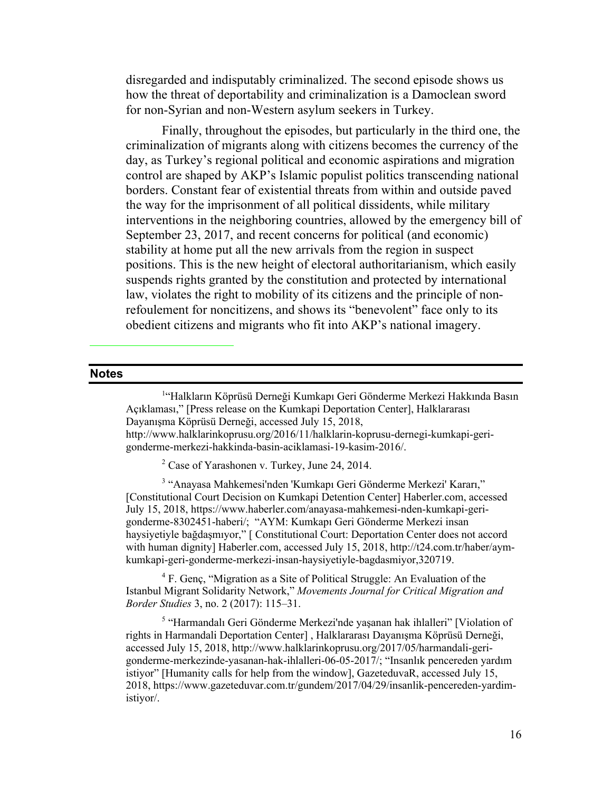disregarded and indisputably criminalized. The second episode shows us how the threat of deportability and criminalization is a Damoclean sword for non-Syrian and non-Western asylum seekers in Turkey.

Finally, throughout the episodes, but particularly in the third one, the criminalization of migrants along with citizens becomes the currency of the day, as Turkey's regional political and economic aspirations and migration control are shaped by AKP's Islamic populist politics transcending national borders. Constant fear of existential threats from within and outside paved the way for the imprisonment of all political dissidents, while military interventions in the neighboring countries, allowed by the emergency bill of September 23, 2017, and recent concerns for political (and economic) stability at home put all the new arrivals from the region in suspect positions. This is the new height of electoral authoritarianism, which easily suspends rights granted by the constitution and protected by international law, violates the right to mobility of its citizens and the principle of nonrefoulement for noncitizens, and shows its "benevolent" face only to its obedient citizens and migrants who fit into AKP's national imagery.

#### **Notes**

<sup>1</sup>"Halkların Köprüsü Derneği Kumkapı Geri Gönderme Merkezi Hakkında Basın Açıklaması," [Press release on the Kumkapi Deportation Center], Halklararası Dayanışma Köprüsü Derneği, accessed July 15, 2018, http://www.halklarinkoprusu.org/2016/11/halklarin-koprusu-dernegi-kumkapi-gerigonderme-merkezi-hakkinda-basin-aciklamasi-19-kasim-2016/.

<sup>2</sup> Case of Yarashonen v. Turkey, June 24, 2014.

<sup>3</sup> "Anayasa Mahkemesi'nden 'Kumkapı Geri Gönderme Merkezi' Kararı," [Constitutional Court Decision on Kumkapi Detention Center] Haberler.com, accessed July 15, 2018, https://www.haberler.com/anayasa-mahkemesi-nden-kumkapi-gerigonderme-8302451-haberi/; "AYM: Kumkapı Geri Gönderme Merkezi insan haysiyetiyle bağdaşmıyor," [ Constitutional Court: Deportation Center does not accord with human dignity] Haberler.com, accessed July 15, 2018, http://t24.com.tr/haber/aymkumkapi-geri-gonderme-merkezi-insan-haysiyetiyle-bagdasmiyor,320719.

 $4 F.$  Genc, "Migration as a Site of Political Struggle: An Evaluation of the Istanbul Migrant Solidarity Network," *Movements Journal for Critical Migration and Border Studies* 3, no. 2 (2017): 115–31.

<sup>5</sup> "Harmandalı Geri Gönderme Merkezi'nde yaşanan hak ihlalleri" [Violation of rights in Harmandali Deportation Center] , Halklararası Dayanışma Köprüsü Derneği, accessed July 15, 2018, http://www.halklarinkoprusu.org/2017/05/harmandali-gerigonderme-merkezinde-yasanan-hak-ihlalleri-06-05-2017/; "Insanlık pencereden yardım istiyor" [Humanity calls for help from the window], GazeteduvaR, accessed July 15, 2018, https://www.gazeteduvar.com.tr/gundem/2017/04/29/insanlik-pencereden-yardimistiyor/.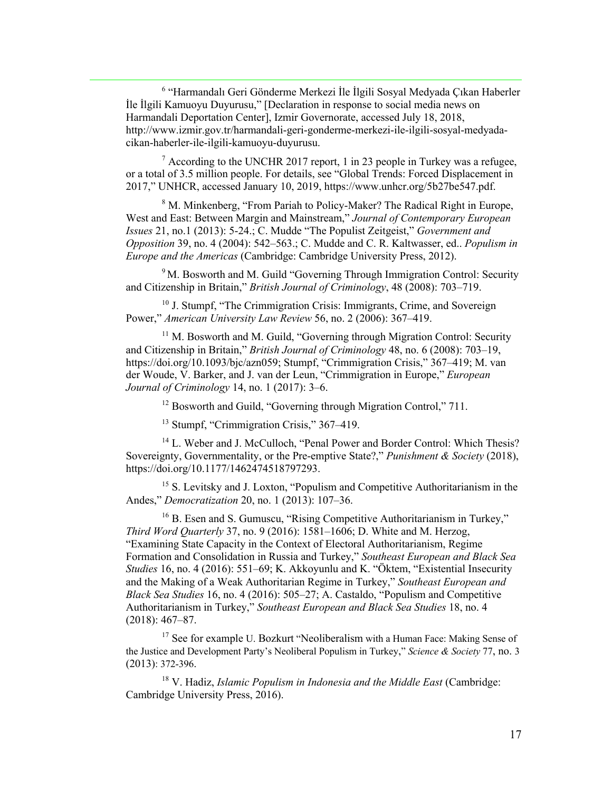<sup>6</sup> "Harmandalı Geri Gönderme Merkezi İle İlgili Sosyal Medyada Çıkan Haberler İle İlgili Kamuoyu Duyurusu," [Declaration in response to social media news on Harmandali Deportation Center], Izmir Governorate, accessed July 18, 2018, http://www.izmir.gov.tr/harmandali-geri-gonderme-merkezi-ile-ilgili-sosyal-medyadacikan-haberler-ile-ilgili-kamuoyu-duyurusu.

 $\frac{7}{7}$  According to the UNCHR 2017 report, 1 in 23 people in Turkey was a refugee, or a total of 3.5 million people. For details, see "Global Trends: Forced Displacement in 2017," UNHCR, accessed January 10, 2019, https://www.unhcr.org/5b27be547.pdf.

<sup>8</sup> M. Minkenberg, "From Pariah to Policy-Maker? The Radical Right in Europe, West and East: Between Margin and Mainstream," *Journal of Contemporary European Issues* 21, no.1 (2013): 5-24.; C. Mudde "The Populist Zeitgeist," *Government and Opposition* 39, no. 4 (2004): 542–563.; C. Mudde and C. R. Kaltwasser, ed.. *Populism in Europe and the Americas* (Cambridge: Cambridge University Press, 2012).

<sup>9</sup> M. Bosworth and M. Guild "Governing Through Immigration Control: Security and Citizenship in Britain," *British Journal of Criminology*, 48 (2008): 703–719.

<sup>10</sup> J. Stumpf, "The Crimmigration Crisis: Immigrants, Crime, and Sovereign Power," *American University Law Review* 56, no. 2 (2006): 367–419.

 $11$  M. Bosworth and M. Guild, "Governing through Migration Control: Security and Citizenship in Britain," *British Journal of Criminology* 48, no. 6 (2008): 703–19, https://doi.org/10.1093/bjc/azn059; Stumpf, "Crimmigration Crisis," 367–419; M. van der Woude, V. Barker, and J. van der Leun, "Crimmigration in Europe," *European Journal of Criminology* 14, no. 1 (2017): 3–6.

<sup>12</sup> Bosworth and Guild, "Governing through Migration Control," 711.

<sup>13</sup> Stumpf, "Crimmigration Crisis," 367–419.

<sup>14</sup> L. Weber and J. McCulloch, "Penal Power and Border Control: Which Thesis? Sovereignty, Governmentality, or the Pre-emptive State?," *Punishment & Society* (2018), https://doi.org/10.1177/1462474518797293.

<sup>15</sup> S. Levitsky and J. Loxton, "Populism and Competitive Authoritarianism in the Andes," *Democratization* 20, no. 1 (2013): 107–36.

 $16$  B. Esen and S. Gumuscu, "Rising Competitive Authoritarianism in Turkey," *Third Word Quarterly* 37, no. 9 (2016): 1581–1606; D. White and M. Herzog, "Examining State Capacity in the Context of Electoral Authoritarianism, Regime Formation and Consolidation in Russia and Turkey," *Southeast European and Black Sea Studies* 16, no. 4 (2016): 551–69; K. Akkoyunlu and K. "Öktem, "Existential Insecurity and the Making of a Weak Authoritarian Regime in Turkey," *Southeast European and Black Sea Studies* 16, no. 4 (2016): 505–27; A. Castaldo, "Populism and Competitive Authoritarianism in Turkey," *Southeast European and Black Sea Studies* 18, no. 4 (2018): 467–87.

<sup>17</sup> See for example U. Bozkurt "Neoliberalism with a Human Face: Making Sense of the Justice and Development Party's Neoliberal Populism in Turkey," *Science & Society* 77, no. 3 (2013): 372-396.

<sup>18</sup> V. Hadiz, *Islamic Populism in Indonesia and the Middle East* (Cambridge: Cambridge University Press, 2016).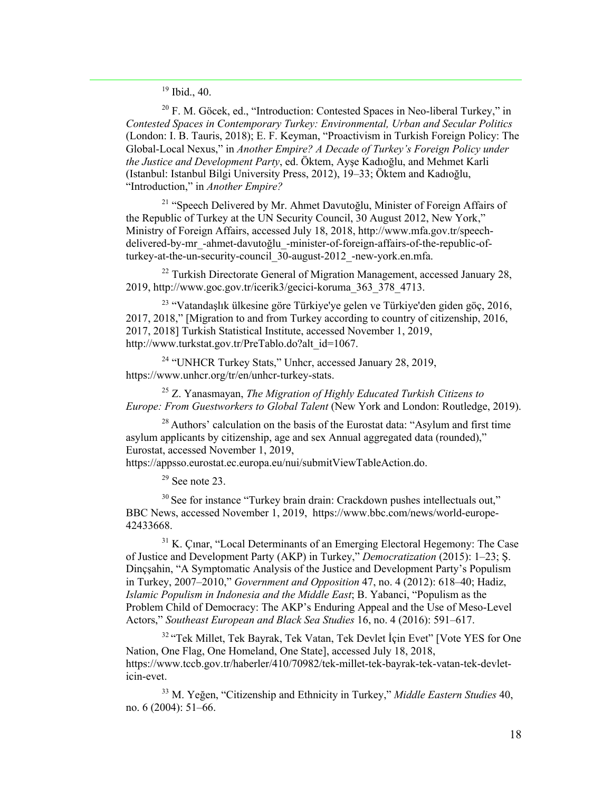<sup>19</sup> Ibid., 40.

 $20$  F. M. Göcek, ed., "Introduction: Contested Spaces in Neo-liberal Turkey," in *Contested Spaces in Contemporary Turkey: Environmental, Urban and Secular Politics* (London: I. B. Tauris, 2018); E. F. Keyman, "Proactivism in Turkish Foreign Policy: The Global-Local Nexus," in *Another Empire? A Decade of Turkey's Foreign Policy under the Justice and Development Party*, ed. Öktem, Ayşe Kadıoğlu, and Mehmet Karli (Istanbul: Istanbul Bilgi University Press, 2012), 19–33; Öktem and Kadıoğlu, "Introduction," in *Another Empire?*

<sup>21</sup> "Speech Delivered by Mr. Ahmet Davutoğlu, Minister of Foreign Affairs of the Republic of Turkey at the UN Security Council, 30 August 2012, New York," Ministry of Foreign Affairs, accessed July 18, 2018, http://www.mfa.gov.tr/speechdelivered-by-mr\_-ahmet-davutoğlu\_-minister-of-foreign-affairs-of-the-republic-ofturkey-at-the-un-security-council\_30-august-2012\_-new-york.en.mfa.

 $22$  Turkish Directorate General of Migration Management, accessed January 28, 2019, http://www.goc.gov.tr/icerik3/gecici-koruma\_363\_378\_4713.

<sup>23</sup> "Vatandaşlık ülkesine göre Türkiye'ye gelen ve Türkiye'den giden göç, 2016, 2017, 2018," [Migration to and from Turkey according to country of citizenship, 2016, 2017, 2018] Turkish Statistical Institute, accessed November 1, 2019, http://www.turkstat.gov.tr/PreTablo.do?alt\_id=1067.

<sup>24</sup> "UNHCR Turkey Stats," Unhcr, accessed January 28, 2019, https://www.unhcr.org/tr/en/unhcr-turkey-stats.

<sup>25</sup> Z. Yanasmayan, *The Migration of Highly Educated Turkish Citizens to Europe: From Guestworkers to Global Talent* (New York and London: Routledge, 2019).

 $28$  Authors' calculation on the basis of the Eurostat data: "Asylum and first time asylum applicants by citizenship, age and sex Annual aggregated data (rounded)," Eurostat, accessed November 1, 2019,

https://appsso.eurostat.ec.europa.eu/nui/submitViewTableAction.do.

 $29$  See note 23.

 $30$  See for instance "Turkey brain drain: Crackdown pushes intellectuals out," BBC News, accessed November 1, 2019, https://www.bbc.com/news/world-europe-42433668.

 $31$  K. Cinar, "Local Determinants of an Emerging Electoral Hegemony: The Case of Justice and Development Party (AKP) in Turkey," *Democratization* (2015): 1–23; Ş. Dinçşahin, "A Symptomatic Analysis of the Justice and Development Party's Populism in Turkey, 2007–2010," *Government and Opposition* 47, no. 4 (2012): 618–40; Hadiz, *Islamic Populism in Indonesia and the Middle East*; B. Yabanci, "Populism as the Problem Child of Democracy: The AKP's Enduring Appeal and the Use of Meso-Level Actors," *Southeast European and Black Sea Studies* 16, no. 4 (2016): 591–617.

<sup>32</sup> "Tek Millet, Tek Bayrak, Tek Vatan, Tek Devlet İçin Evet" [Vote YES for One Nation, One Flag, One Homeland, One State], accessed July 18, 2018, https://www.tccb.gov.tr/haberler/410/70982/tek-millet-tek-bayrak-tek-vatan-tek-devleticin-evet.

<sup>33</sup> M. Yeğen, "Citizenship and Ethnicity in Turkey," *Middle Eastern Studies* 40, no. 6 (2004): 51–66.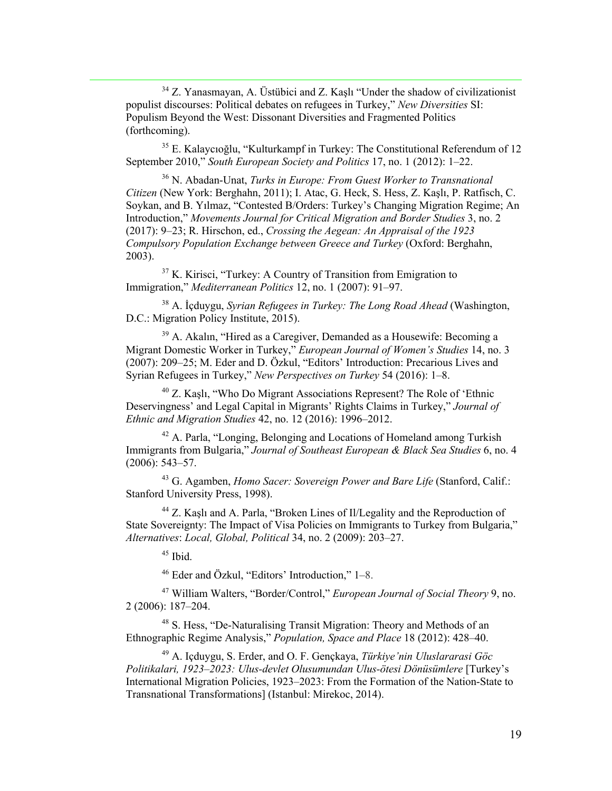<sup>34</sup> Z. Yanasmayan, A. Üstübici and Z. Kaşlı "Under the shadow of civilizationist populist discourses: Political debates on refugees in Turkey," *New Diversities* SI: Populism Beyond the West: Dissonant Diversities and Fragmented Politics (forthcoming).

<sup>35</sup> E. Kalaycıoğlu, "Kulturkampf in Turkey: The Constitutional Referendum of 12 September 2010," *South European Society and Politics* 17, no. 1 (2012): 1–22.

<sup>36</sup> N. Abadan-Unat, *Turks in Europe: From Guest Worker to Transnational Citizen* (New York: Berghahn, 2011); I. Atac, G. Heck, S. Hess, Z. Kaşlı, P. Ratfisch, C. Soykan, and B. Yılmaz, "Contested B/Orders: Turkey's Changing Migration Regime; An Introduction," *Movements Journal for Critical Migration and Border Studies* 3, no. 2 (2017): 9–23; R. Hirschon, ed., *Crossing the Aegean: An Appraisal of the 1923 Compulsory Population Exchange between Greece and Turkey* (Oxford: Berghahn, 2003).

 $37$  K. Kirisci, "Turkey: A Country of Transition from Emigration to Immigration," *Mediterranean Politics* 12, no. 1 (2007): 91–97.

<sup>38</sup> A. İçduygu, *Syrian Refugees in Turkey: The Long Road Ahead* (Washington, D.C.: Migration Policy Institute, 2015).

<sup>39</sup> A. Akalın, "Hired as a Caregiver, Demanded as a Housewife: Becoming a Migrant Domestic Worker in Turkey," *European Journal of Women's Studies* 14, no. 3 (2007): 209–25; M. Eder and D. Özkul, "Editors' Introduction: Precarious Lives and Syrian Refugees in Turkey," *New Perspectives on Turkey* 54 (2016): 1–8.

<sup>40</sup> Z. Kaşlı, "Who Do Migrant Associations Represent? The Role of 'Ethnic Deservingness' and Legal Capital in Migrants' Rights Claims in Turkey," *Journal of Ethnic and Migration Studies* 42, no. 12 (2016): 1996–2012.

<sup>42</sup> A. Parla, "Longing, Belonging and Locations of Homeland among Turkish Immigrants from Bulgaria," *Journal of Southeast European & Black Sea Studies* 6, no. 4 (2006): 543–57.

<sup>43</sup> G. Agamben, *Homo Sacer: Sovereign Power and Bare Life* (Stanford, Calif.: Stanford University Press, 1998).

<sup>44</sup> Z. Kaşlı and A. Parla, "Broken Lines of Il/Legality and the Reproduction of State Sovereignty: The Impact of Visa Policies on Immigrants to Turkey from Bulgaria," *Alternatives*: *Local, Global, Political* 34, no. 2 (2009): 203–27.

 $45$  Ibid.

<sup>46</sup> Eder and Özkul, "Editors' Introduction," 1–8.

<sup>47</sup> William Walters, "Border/Control," *European Journal of Social Theory* 9, no. 2 (2006): 187–204.

<sup>48</sup> S. Hess, "De-Naturalising Transit Migration: Theory and Methods of an Ethnographic Regime Analysis," *Population, Space and Place* 18 (2012): 428–40.

<sup>49</sup> A. Içduygu, S. Erder, and O. F. Gençkaya, *Türkiye'nin Uluslararasi Göc Politikalari, 1923–2023: Ulus-devlet Olusumundan Ulus-ötesi Dönüsümlere* [Turkey's International Migration Policies, 1923–2023: From the Formation of the Nation-State to Transnational Transformations] (Istanbul: Mirekoc, 2014).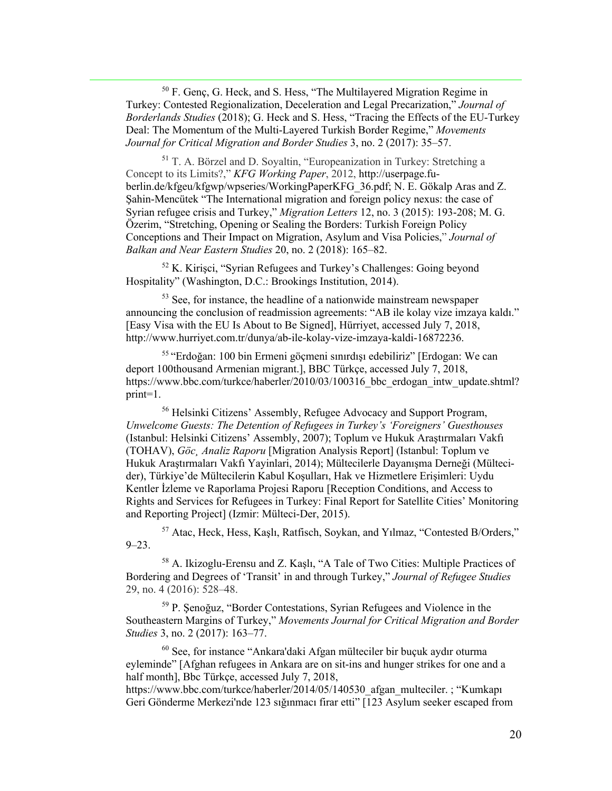<sup>50</sup> F. Genç, G. Heck, and S. Hess, "The Multilayered Migration Regime in Turkey: Contested Regionalization, Deceleration and Legal Precarization," *Journal of Borderlands Studies* (2018); G. Heck and S. Hess, "Tracing the Effects of the EU-Turkey Deal: The Momentum of the Multi-Layered Turkish Border Regime," *Movements Journal for Critical Migration and Border Studies* 3, no. 2 (2017): 35–57.

<sup>51</sup> T. A. Börzel and D. Soyaltin, "Europeanization in Turkey: Stretching a Concept to its Limits?," *KFG Working Paper*, 2012, http://userpage.fuberlin.de/kfgeu/kfgwp/wpseries/WorkingPaperKFG\_36.pdf; N. E. Gökalp Aras and Z. Şahin-Mencütek "The International migration and foreign policy nexus: the case of Syrian refugee crisis and Turkey," *Migration Letters* 12, no. 3 (2015): 193-208; M. G. Özerim, "Stretching, Opening or Sealing the Borders: Turkish Foreign Policy Conceptions and Their Impact on Migration, Asylum and Visa Policies," *Journal of Balkan and Near Eastern Studies* 20, no. 2 (2018): 165–82.

<sup>52</sup> K. Kirişci, "Syrian Refugees and Turkey's Challenges: Going beyond Hospitality" (Washington, D.C.: Brookings Institution, 2014).

<sup>53</sup> See, for instance, the headline of a nationwide mainstream newspaper announcing the conclusion of readmission agreements: "AB ile kolay vize imzaya kaldı." [Easy Visa with the EU Is About to Be Signed], Hürriyet, accessed July 7, 2018, http://www.hurriyet.com.tr/dunya/ab-ile-kolay-vize-imzaya-kaldi-16872236.

<sup>55</sup> "Erdoğan: 100 bin Ermeni göçmeni sınırdışı edebiliriz" [Erdogan: We can deport 100thousand Armenian migrant.], BBC Türkçe, accessed July 7, 2018, https://www.bbc.com/turkce/haberler/2010/03/100316 bbc erdogan intw update.shtml? print=1.

<sup>56</sup> Helsinki Citizens' Assembly, Refugee Advocacy and Support Program, *Unwelcome Guests: The Detention of Refugees in Turkey's 'Foreigners' Guesthouses* (Istanbul: Helsinki Citizens' Assembly, 2007); Toplum ve Hukuk Araştırmaları Vakfı (TOHAV), *Göc¸ Analiz Raporu* [Migration Analysis Report] (Istanbul: Toplum ve Hukuk Araştırmaları Vakfı Yayinlari, 2014); Mültecilerle Dayanışma Derneği (Mültecider), Türkiye'de Mültecilerin Kabul Koşulları, Hak ve Hizmetlere Erişimleri: Uydu Kentler İzleme ve Raporlama Projesi Raporu [Reception Conditions, and Access to Rights and Services for Refugees in Turkey: Final Report for Satellite Cities' Monitoring and Reporting Project] (Izmir: Mülteci-Der, 2015).

<sup>57</sup> Atac, Heck, Hess, Kaşlı, Ratfisch, Soykan, and Yılmaz, "Contested B/Orders,"  $9 - 23$ .

<sup>58</sup> A. Ikizoglu-Erensu and Z. Kaşlı, "A Tale of Two Cities: Multiple Practices of Bordering and Degrees of 'Transit' in and through Turkey," *Journal of Refugee Studies* 29, no. 4 (2016): 528–48.

<sup>59</sup> P. Şenoğuz, "Border Contestations, Syrian Refugees and Violence in the Southeastern Margins of Turkey," *Movements Journal for Critical Migration and Border Studies* 3, no. 2 (2017): 163–77.

<sup>60</sup> See, for instance "Ankara'daki Afgan mülteciler bir buçuk aydır oturma eyleminde" [Afghan refugees in Ankara are on sit-ins and hunger strikes for one and a half month], Bbc Türkçe, accessed July 7, 2018,

https://www.bbc.com/turkce/haberler/2014/05/140530\_afgan\_multeciler. ; "Kumkapı Geri Gönderme Merkezi'nde 123 sığınmacı firar etti" [123 Asylum seeker escaped from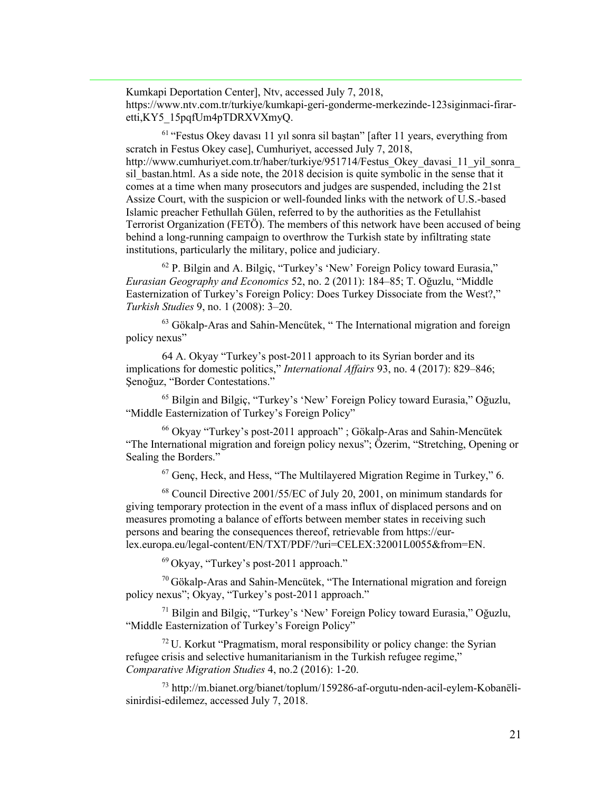Kumkapi Deportation Center], Ntv, accessed July 7, 2018, https://www.ntv.com.tr/turkiye/kumkapi-geri-gonderme-merkezinde-123siginmaci-firaretti,KY5\_15pqfUm4pTDRXVXmyQ.

<sup>61</sup> "Festus Okey davası 11 yıl sonra sil baştan" [after 11 years, everything from scratch in Festus Okey case], Cumhuriyet, accessed July 7, 2018, http://www.cumhuriyet.com.tr/haber/turkiye/951714/Festus\_Okey\_davasi\_11\_yil\_sonra\_ sil bastan.html. As a side note, the 2018 decision is quite symbolic in the sense that it comes at a time when many prosecutors and judges are suspended, including the 21st Assize Court, with the suspicion or well-founded links with the network of U.S.-based Islamic preacher Fethullah Gülen, referred to by the authorities as the Fetullahist Terrorist Organization (FETÖ). The members of this network have been accused of being behind a long-running campaign to overthrow the Turkish state by infiltrating state institutions, particularly the military, police and judiciary.

 $62$  P. Bilgin and A. Bilgiç, "Turkey's 'New' Foreign Policy toward Eurasia," *Eurasian Geography and Economics* 52, no. 2 (2011): 184‒85; T. Oğuzlu, "Middle Easternization of Turkey's Foreign Policy: Does Turkey Dissociate from the West?," *Turkish Studies* 9, no. 1 (2008): 3‒20.

 $63$  Gökalp-Aras and Sahin-Mencütek, "The International migration and foreign policy nexus"

64 A. Okyay "Turkey's post-2011 approach to its Syrian border and its implications for domestic politics," *International Affairs* 93, no. 4 (2017): 829–846; Şenoğuz, "Border Contestations."

<sup>65</sup> Bilgin and Bilgiç, "Turkey's 'New' Foreign Policy toward Eurasia," Oğuzlu, "Middle Easternization of Turkey's Foreign Policy"

 $66$  Okyay "Turkey's post-2011 approach"; Gökalp-Aras and Sahin-Mencütek "The International migration and foreign policy nexus"; Özerim, "Stretching, Opening or Sealing the Borders."

 $67$  Genc, Heck, and Hess, "The Multilayered Migration Regime in Turkey," 6.

<sup>68</sup> Council Directive 2001/55/EC of July 20, 2001, on minimum standards for giving temporary protection in the event of a mass influx of displaced persons and on measures promoting a balance of efforts between member states in receiving such persons and bearing the consequences thereof, retrievable from https://eurlex.europa.eu/legal-content/EN/TXT/PDF/?uri=CELEX:32001L0055&from=EN.

 $^{69}$  Okyay, "Turkey's post-2011 approach."

 $70$  Gökalp-Aras and Sahin-Mencütek, "The International migration and foreign policy nexus"; Okyay, "Turkey's post-2011 approach."

<sup>71</sup> Bilgin and Bilgiç, "Turkey's 'New' Foreign Policy toward Eurasia," Oğuzlu, "Middle Easternization of Turkey's Foreign Policy"

 $72$  U. Korkut "Pragmatism, moral responsibility or policy change: the Syrian refugee crisis and selective humanitarianism in the Turkish refugee regime," *Comparative Migration Studies* 4, no.2 (2016): 1-20.

<sup>73</sup> http://m.bianet.org/bianet/toplum/159286-af-orgutu-nden-acil-eylem-Kobanëlisinirdisi-edilemez, accessed July 7, 2018.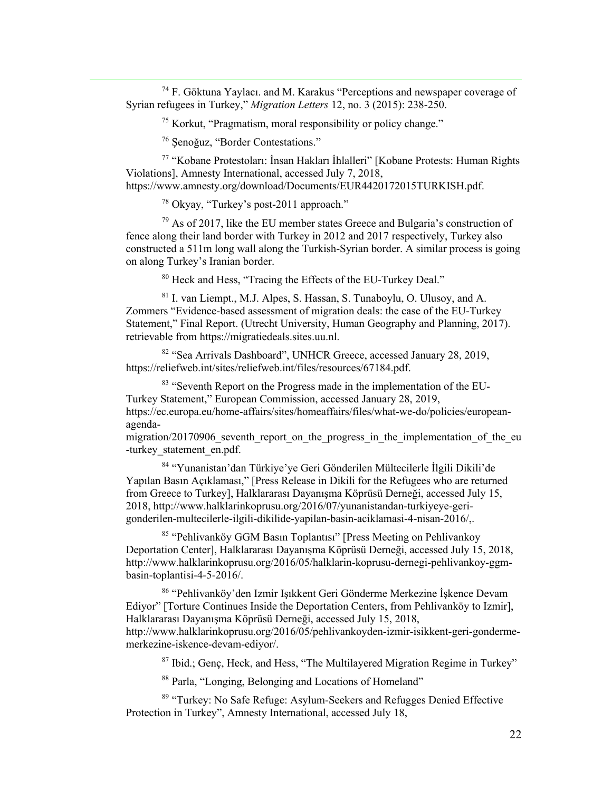$74$  F. Göktuna Yaylacı. and M. Karakus "Perceptions and newspaper coverage of Syrian refugees in Turkey," *Migration Letters* 12, no. 3 (2015): 238-250.

 $<sup>75</sup>$  Korkut, "Pragmatism, moral responsibility or policy change."</sup>

<sup>76</sup> Şenoğuz, "Border Contestations."

<sup>77</sup> "Kobane Protestoları: İnsan Hakları İhlalleri" [Kobane Protests: Human Rights Violations], Amnesty International, accessed July 7, 2018, https://www.amnesty.org/download/Documents/EUR4420172015TURKISH.pdf.

<sup>78</sup> Okyay, "Turkey's post-2011 approach."

 $79$  As of 2017, like the EU member states Greece and Bulgaria's construction of fence along their land border with Turkey in 2012 and 2017 respectively, Turkey also constructed a 511m long wall along the Turkish-Syrian border. A similar process is going on along Turkey's Iranian border.

<sup>80</sup> Heck and Hess, "Tracing the Effects of the EU-Turkey Deal."

<sup>81</sup> I. van Liempt., M.J. Alpes, S. Hassan, S. Tunaboylu, O. Ulusoy, and A. Zommers "Evidence-based assessment of migration deals: the case of the EU-Turkey Statement," Final Report. (Utrecht University, Human Geography and Planning, 2017). retrievable from https://migratiedeals.sites.uu.nl.

<sup>82</sup> "Sea Arrivals Dashboard", UNHCR Greece, accessed January 28, 2019, https://reliefweb.int/sites/reliefweb.int/files/resources/67184.pdf.

<sup>83</sup> "Seventh Report on the Progress made in the implementation of the EU-Turkey Statement," European Commission, accessed January 28, 2019, https://ec.europa.eu/home-affairs/sites/homeaffairs/files/what-we-do/policies/europeanagenda-

migration/20170906 seventh report on the progress in the implementation of the eu -turkey statement en.pdf.

<sup>84</sup> "Yunanistan'dan Türkiye'ye Geri Gönderilen Mültecilerle İlgili Dikili'de Yapılan Basın Açıklaması," [Press Release in Dikili for the Refugees who are returned from Greece to Turkey], Halklararası Dayanışma Köprüsü Derneği, accessed July 15, 2018, http://www.halklarinkoprusu.org/2016/07/yunanistandan-turkiyeye-gerigonderilen-multecilerle-ilgili-dikilide-yapilan-basin-aciklamasi-4-nisan-2016/,.

<sup>85</sup> "Pehlivanköy GGM Basın Toplantısı" [Press Meeting on Pehlivankoy Deportation Center], Halklararası Dayanışma Köprüsü Derneği, accessed July 15, 2018, http://www.halklarinkoprusu.org/2016/05/halklarin-koprusu-dernegi-pehlivankoy-ggmbasin-toplantisi-4-5-2016/.

<sup>86</sup> "Pehlivanköy'den Izmir Işıkkent Geri Gönderme Merkezine İşkence Devam Ediyor" [Torture Continues Inside the Deportation Centers, from Pehlivanköy to Izmir], Halklararası Dayanışma Köprüsü Derneği, accessed July 15, 2018, http://www.halklarinkoprusu.org/2016/05/pehlivankoyden-izmir-isikkent-geri-gondermemerkezine-iskence-devam-ediyor/.

<sup>87</sup> Ibid.; Genç, Heck, and Hess, "The Multilayered Migration Regime in Turkey"

<sup>88</sup> Parla, "Longing, Belonging and Locations of Homeland"

89 "Turkey: No Safe Refuge: Asylum-Seekers and Refugges Denied Effective Protection in Turkey", Amnesty International, accessed July 18,